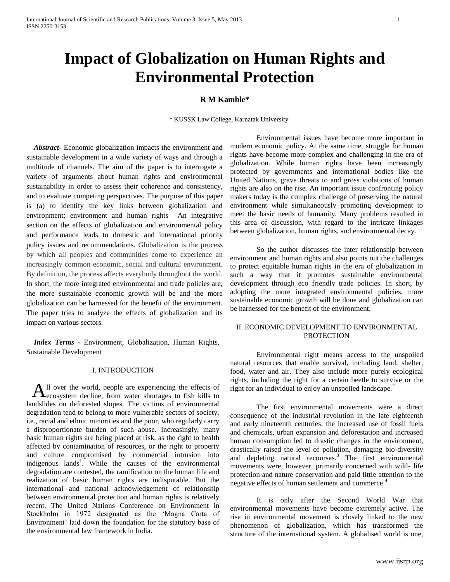# **Impact of Globalization on Human Rights and Environmental Protection**

## **R M Kamble\***

\* KUSSK Law College, Karnatak University

 *Abstract-* Economic globalization impacts the environment and sustainable development in a wide variety of ways and through a multitude of channels. The aim of the paper is to interrogate a variety of arguments about human rights and environmental sustainability in order to assess their coherence and consistency, and to evaluate competing perspectives. The purpose of this paper is (a) to identify the key links between globalization and environment; environment and human rights An integrative section on the effects of globalization and environmental policy and performance leads to domestic and international priority policy issues and recommendations. Globalization is the process by which all peoples and communities come to experience an increasingly common economic, social and cultural environment. By definition, the process affects everybody throughout the world. In short, the more integrated environmental and trade policies are, the more sustainable economic growth will be and the more globalization can be harnessed for the benefit of the environment. The paper tries to analyze the effects of globalization and its impact on various sectors.

 *Index Terms -* Environment, Globalization, Human Rights, Sustainable Development

#### I. INTRODUCTION

ll over the world, people are experiencing the effects of  $A<sup>ll</sup>$  over the world, people are experiencing the effects of  $A<sup>l</sup>$  ecosystem decline, from water shortages to fish kills to landslides on deforested slopes. The victims of environmental degradation tend to belong to more vulnerable sectors of society, i.e., racial and ethnic minorities and the poor, who regularly carry a disproportionate burden of such abuse. Increasingly, many basic human rights are being placed at risk, as the right to health affected by contamination of resources, or the right to property and culture compromised by commercial intrusion into indigenous lands<sup>1</sup>. While the causes of the environmental degradation are contested, the ramification on the human life and realization of basic human rights are indisputable. But the international and national acknowledgement of relationship between environmental protection and human rights is relatively recent. The United Nations Conference on Environment in Stockholm in 1972 designated as the 'Magna Carta of Environment' laid down the foundation for the statutory base of the environmental law framework in India.

Environmental issues have become more important in modern economic policy. At the same time, struggle for human rights have become more complex and challenging in the era of globalization. While human rights have been increasingly protected by governments and international bodies like the United Nations, grave threats to and gross violations of human rights are also on the rise. An important issue confronting policy makers today is the complex challenge of preserving the natural environment while simultaneously promoting development to meet the basic needs of humanity. Many problems resulted in this area of discussion, with regard to the intricate linkages between globalization, human rights, and environmental decay.

So the author discusses the inter relationship between environment and human rights and also points out the challenges to protect equitable human rights in the era of globalization in such a way that it promotes sustainable environmental development through eco friendly trade policies. In short, by adopting the more integrated environmental policies, more sustainable economic growth will be done and globalization can be harnessed for the benefit of the environment.

## II. ECONOMIC DEVELOPMENT TO ENVIRONMENTAL **PROTECTION**

Environmental right means access to the unspoiled natural resources that enable survival, including land, shelter, food, water and air. They also include more purely ecological rights, including the right for a certain beetle to survive or the right for an individual to enjoy an unspoiled landscape.<sup>2</sup>

The first environmental movements were a direct consequence of the industrial revolution in the late eighteenth and early nineteenth centuries; the increased use of fossil fuels and chemicals, urban expansion and deforestation and increased human consumption led to drastic changes in the environment, drastically raised the level of pollution, damaging bio-diversity and depleting natural recourses.<sup>3</sup> The first environmental movements were, however, primarily concerned with wild- life protection and nature conservation and paid little attention to the negative effects of human settlement and commerce.<sup>4</sup>

It is only after the Second World War that environmental movements have become extremely active. The rise in environmental movement is closely linked to the new phenomenon of globalization, which has transformed the structure of the international system. A globalised world is one,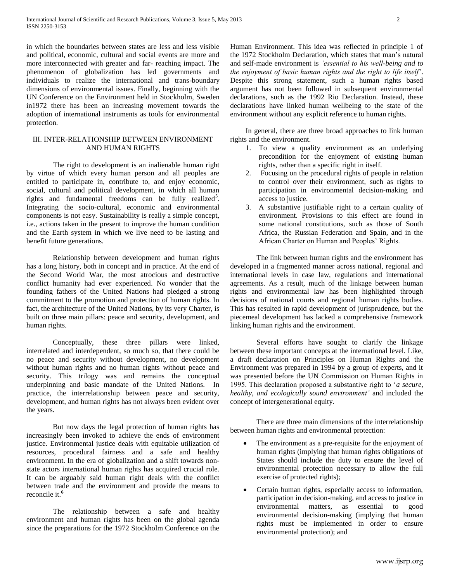in which the boundaries between states are less and less visible and political, economic, cultural and social events are more and more interconnected with greater and far- reaching impact. The phenomenon of globalization has led governments and individuals to realize the international and trans-boundary dimensions of environmental issues. Finally, beginning with the UN Conference on the Environment held in Stockholm, Sweden in1972 there has been an increasing movement towards the adoption of international instruments as tools for environmental protection.

## III. INTER-RELATIONSHIP BETWEEN ENVIRONMENT AND HUMAN RIGHTS

The right to development is an inalienable human right by virtue of which every human person and all peoples are entitled to participate in, contribute to, and enjoy economic, social, cultural and political development, in which all human rights and fundamental freedoms can be fully realized<sup>5</sup>. Integrating the socio-cultural, economic and environmental components is not easy. Sustainability is really a simple concept, i.e., actions taken in the present to improve the human condition and the Earth system in which we live need to be lasting and benefit future generations.

Relationship between development and human rights has a long history, both in concept and in practice. At the end of the Second World War, the most atrocious and destructive conflict humanity had ever experienced. No wonder that the founding fathers of the United Nations had pledged a strong commitment to the promotion and protection of human rights. In fact, the architecture of the United Nations, by its very Charter, is built on three main pillars: peace and security, development, and human rights.

Conceptually, these three pillars were linked, interrelated and interdependent, so much so, that there could be no peace and security without development, no development without human rights and no human rights without peace and security. This trilogy was and remains the conceptual underpinning and basic mandate of the United Nations. In practice, the interrelationship between peace and security, development, and human rights has not always been evident over the years.

But now days the legal protection of human rights has increasingly been invoked to achieve the ends of environment justice. Environmental justice deals with equitable utilization of resources, procedural fairness and a safe and healthy environment. In the era of globalization and a shift towards nonstate actors international human rights has acquired crucial role. It can be arguably said human right deals with the conflict between trade and the environment and provide the means to reconcile it.**<sup>6</sup>**

The relationship between a safe and healthy environment and human rights has been on the global agenda since the preparations for the 1972 Stockholm Conference on the

Human Environment. This idea was reflected in principle 1 of the 1972 Stockholm Declaration, which states that man's natural and self-made environment is *'essential to his well-being and to the enjoyment of basic human rights and the right to life itself'*. Despite this strong statement, such a human rights based argument has not been followed in subsequent environmental declarations, such as the 1992 Rio Declaration. Instead, these declarations have linked human wellbeing to the state of the environment without any explicit reference to human rights.

In general, there are three broad approaches to link human rights and the environment.

- 1. To view a quality environment as an underlying precondition for the enjoyment of existing human rights, rather than a specific right in itself.
- 2. Focusing on the procedural rights of people in relation to control over their environment, such as rights to participation in environmental decision-making and access to justice.
- 3. A substantive justifiable right to a certain quality of environment. Provisions to this effect are found in some national constitutions, such as those of South Africa, the Russian Federation and Spain, and in the African Charter on Human and Peoples' Rights.

The link between human rights and the environment has developed in a fragmented manner across national, regional and international levels in case law, regulations and international agreements. As a result, much of the linkage between human rights and environmental law has been highlighted through decisions of national courts and regional human rights bodies. This has resulted in rapid development of jurisprudence, but the piecemeal development has lacked a comprehensive framework linking human rights and the environment.

Several efforts have sought to clarify the linkage between these important concepts at the international level. Like, a draft declaration on Principles on Human Rights and the Environment was prepared in 1994 by a group of experts, and it was presented before the UN Commission on Human Rights in 1995. This declaration proposed a substantive right to '*a secure, healthy, and ecologically sound environment'* and included the concept of intergenerational equity.

There are three main dimensions of the interrelationship between human rights and environmental protection:

- The environment as a pre-requisite for the enjoyment of human rights (implying that human rights obligations of States should include the duty to ensure the level of environmental protection necessary to allow the full exercise of protected rights);
- Certain human rights, especially access to information, participation in decision-making, and access to justice in environmental matters, as essential to good environmental decision-making (implying that human rights must be implemented in order to ensure environmental protection); and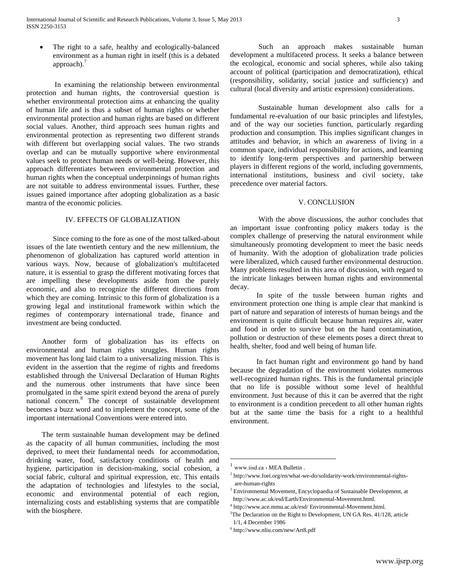The right to a safe, healthy and ecologically-balanced environment as a human right in itself (this is a debated approach). $<sup>7</sup>$ </sup>

In examining the relationship between environmental protection and human rights, the controversial question is whether environmental protection aims at enhancing the quality of human life and is thus a subset of human rights or whether environmental protection and human rights are based on different social values. Another, third approach sees human rights and environmental protection as representing two different strands with different but overlapping social values. The two strands overlap and can be mutually supportive where environmental values seek to protect human needs or well-being. However, this approach differentiates between environmental protection and human rights when the conceptual underpinnings of human rights are not suitable to address environmental issues. Further, these issues gained importance after adopting globalization as a basic mantra of the economic policies.

### IV. EFFECTS OF GLOBALIZATION

Since coming to the fore as one of the most talked-about issues of the late twentieth century and the new millennium, the phenomenon of globalization has captured world attention in various ways. Now, because of globalization's multifaceted nature, it is essential to grasp the different motivating forces that are impelling these developments aside from the purely economic, and also to recognize the different directions from which they are coming. Intrinsic to this form of globalization is a growing legal and institutional framework within which the regimes of contemporary international trade, finance and investment are being conducted.

Another form of globalization has its effects on environmental and human rights struggles. Human rights movement has long laid claim to a universalizing mission. This is evident in the assertion that the regime of rights and freedoms established through the Universal Declaration of Human Rights and the numerous other instruments that have since been promulgated in the same spirit extend beyond the arena of purely national concern.<sup>8</sup> The concept of sustainable development becomes a buzz word and to implement the concept, some of the important international Conventions were entered into.

The term sustainable human development may be defined as the capacity of all human communities, including the most deprived, to meet their fundamental needs for accommodation, drinking water, food, satisfactory conditions of health and hygiene, participation in decision-making, social cohesion, a social fabric, cultural and spiritual expression, etc. This entails the adaptation of technologies and lifestyles to the social, economic and environmental potential of each region, internalizing costs and establishing systems that are compatible with the biosphere.

Such an approach makes sustainable human development a multifaceted process. It seeks a balance between the ecological, economic and social spheres, while also taking account of political (participation and democratization), ethical (responsibility, solidarity, social justice and sufficiency) and cultural (local diversity and artistic expression) considerations.

Sustainable human development also calls for a fundamental re-evaluation of our basic principles and lifestyles, and of the way our societies function, particularly regarding production and consumption. This implies significant changes in attitudes and behavior, in which an awareness of living in a common space, individual responsibility for actions, and learning to identify long-term perspectives and partnership between players in different regions of the world, including governments, international institutions, business and civil society, take precedence over material factors.

## V. CONCLUSION

With the above discussions, the author concludes that an important issue confronting policy makers today is the complex challenge of preserving the natural environment while simultaneously promoting development to meet the basic needs of humanity. With the adoption of globalization trade policies were liberalized, which caused further environmental destruction. Many problems resulted in this area of discussion, with regard to the intricate linkages between human rights and environmental decay.

In spite of the tussle between human rights and environment protection one thing is ample clear that mankind is part of nature and separation of interests of human beings and the environment is quite difficult because human requires air, water and food in order to survive but on the hand contamination, pollution or destruction of these elements poses a direct threat to health, shelter, food and well being of human life.

In fact human right and environment go hand by hand because the degradation of the environment violates numerous well-recognized human rights. This is the fundamental principle that no life is possible without some level of healthful environment. Just because of this it can be averred that the right to environment is a condition precedent to all other human rights but at the same time the basis for a right to a healthful environment.

 $\overline{a}$ 

<sup>1</sup> www.iisd.ca › [MEA Bulletin](http://www.google.co.in/url?url=http://www.iisd.ca/email/mea-l.htm&rct=j&sa=X&ei=XulkTZrAG86zrAfpx4CBBw&ved=0CCcQ6QUoADABOAo&q=human+rights+and+environment&usg=AFQjCNEHlZlMMlehUevg4mby891cF9q68g) .

<sup>&</sup>lt;sup>2</sup> http://www.foei.org/en/what-we-do/solidarity-work/environmental-rightsare-human-rights

<sup>&</sup>lt;sup>3</sup> Environmental Movement, Encyclopaedia of Sustainable Development, at http://www.ac.uk/esd/Earth/Environmental-Movement.html.

<sup>4</sup> http://www.ace.mmu.ac.uk/esd/ Environmental-Movement.html.

 $5$ The Declaration on the Right to Development, UN GA Res. 41/128, article 1/1, 4 December 1986

<sup>6</sup> <http://www.nliu.com/new/Art8.pdf>